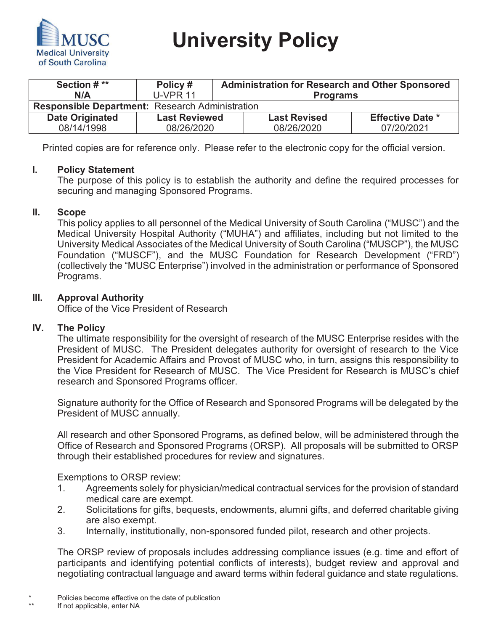

 **University Policy** 

| Section # **<br>N/A                                    | Policy#<br><b>U-VPR 11</b> | <b>Administration for Research and Other Sponsored</b><br><b>Programs</b> |                     |                         |
|--------------------------------------------------------|----------------------------|---------------------------------------------------------------------------|---------------------|-------------------------|
| <b>Responsible Department: Research Administration</b> |                            |                                                                           |                     |                         |
| <b>Date Originated</b>                                 | <b>Last Reviewed</b>       |                                                                           | <b>Last Revised</b> | <b>Effective Date *</b> |
| 08/14/1998                                             | 08/26/2020                 |                                                                           | 08/26/2020          | 07/20/2021              |

Printed copies are for reference only. Please refer to the electronic copy for the official version.

### **I. Policy Statement**

The purpose of this policy is to establish the authority and define the required processes for securing and managing Sponsored Programs.

### **II. Scope**

This policy applies to all personnel of the Medical University of South Carolina ("MUSC") and the Medical University Hospital Authority ("MUHA") and affiliates, including but not limited to the University Medical Associates of the Medical University of South Carolina ("MUSCP"), the MUSC Foundation ("MUSCF"), and the MUSC Foundation for Research Development ("FRD") (collectively the "MUSC Enterprise") involved in the administration or performance of Sponsored Programs.

## **III. Approval Authority**

Office of the Vice President of Research

# **IV. The Policy**

The ultimate responsibility for the oversight of research of the MUSC Enterprise resides with the President of MUSC. The President delegates authority for oversight of research to the Vice President for Academic Affairs and Provost of MUSC who, in turn, assigns this responsibility to the Vice President for Research of MUSC. The Vice President for Research is MUSC's chief research and Sponsored Programs officer.

Signature authority for the Office of Research and Sponsored Programs will be delegated by the President of MUSC annually.

All research and other Sponsored Programs, as defined below, will be administered through the Office of Research and Sponsored Programs (ORSP). All proposals will be submitted to ORSP through their established procedures for review and signatures.

Exemptions to ORSP review:

- 1. Agreements solely for physician/medical contractual services for the provision of standard medical care are exempt.
- 2. Solicitations for gifts, bequests, endowments, alumni gifts, and deferred charitable giving are also exempt.
- 3. Internally, institutionally, non-sponsored funded pilot, research and other projects.

The ORSP review of proposals includes addressing compliance issues (e.g. time and effort of participants and identifying potential conflicts of interests), budget review and approval and negotiating contractual language and award terms within federal guidance and state regulations.